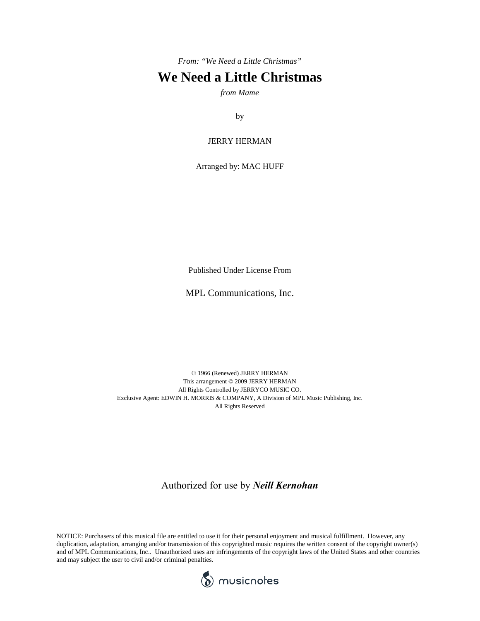*From: "We Need a Little Christmas"*

## **We Need a Little Christmas**

*from Mame*

by

## JERRY HERMAN

Arranged by: MAC HUFF

Published Under License From

MPL Communications, Inc.

© 1966 (Renewed) JERRY HERMAN This arrangement © 2009 JERRY HERMAN All Rights Controlled by JERRYCO MUSIC CO. Exclusive Agent: EDWIN H. MORRIS & COMPANY, A Division of MPL Music Publishing, Inc. All Rights Reserved

## Authorized for use by *Neill Kernohan*

NOTICE: Purchasers of this musical file are entitled to use it for their personal enjoyment and musical fulfillment. However, any duplication, adaptation, arranging and/or transmission of this copyrighted music requires the written consent of the copyright owner(s) and of MPL Communications, Inc.. Unauthorized uses are infringements of the copyright laws of the United States and other countries and may subject the user to civil and/or criminal penalties.

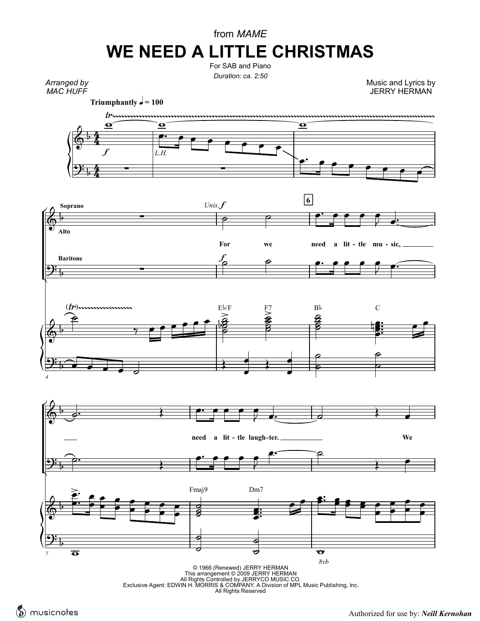## from *MAME* **WE NEED A LITTLE CHRISTMAS**

For SAB and Piano *Duration: ca. 2:50*

*Arranged by MAC HUFF*

Music and Lyrics by JERRY HERMAN

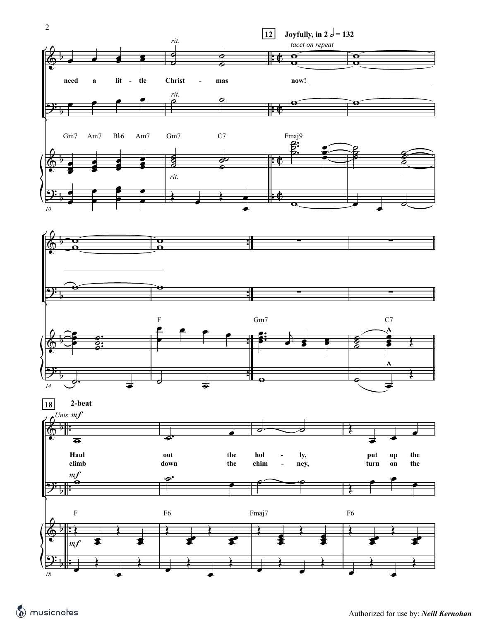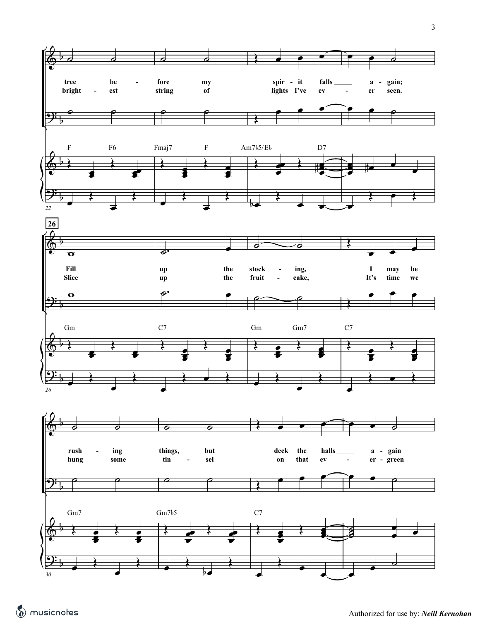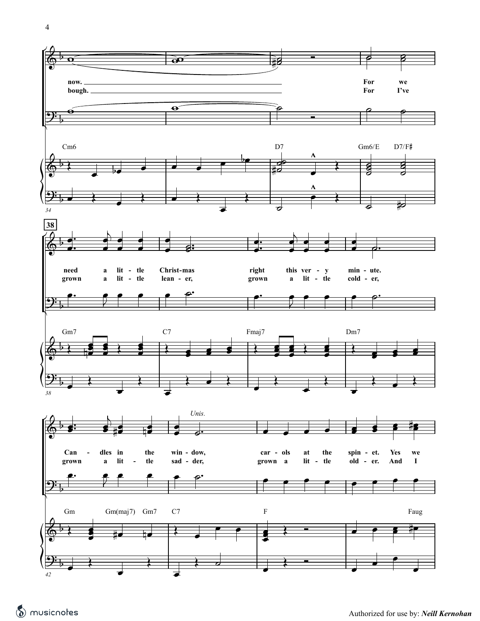



**For For**

**we I've**

E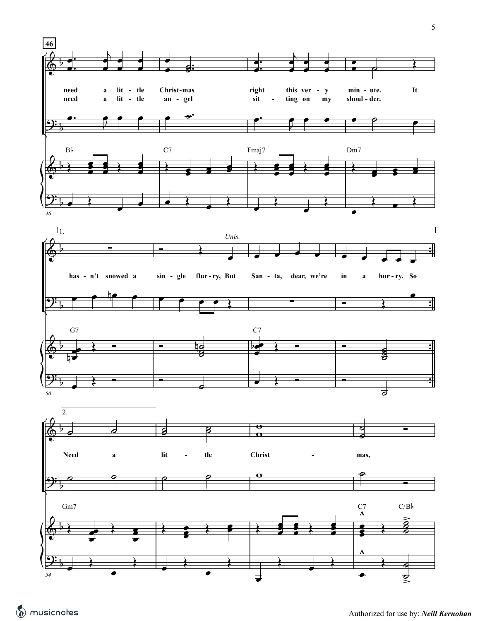

musicnotes.com Compliments of *musicnotes.com* Authorized for use by: *Neill Kernohan*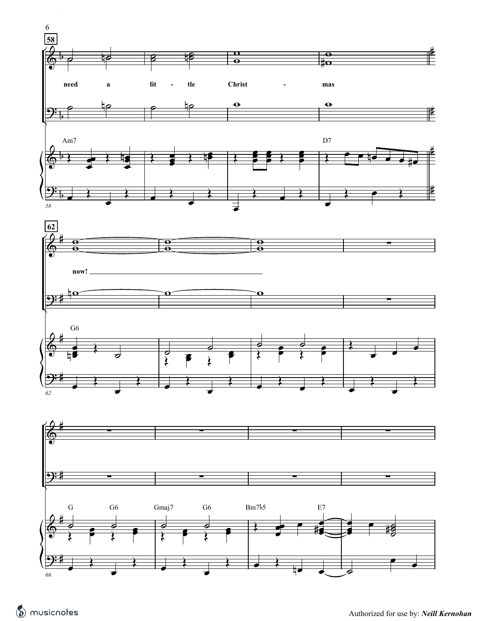



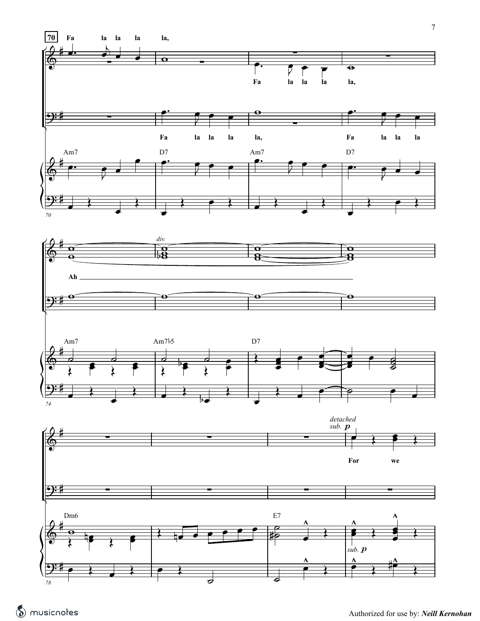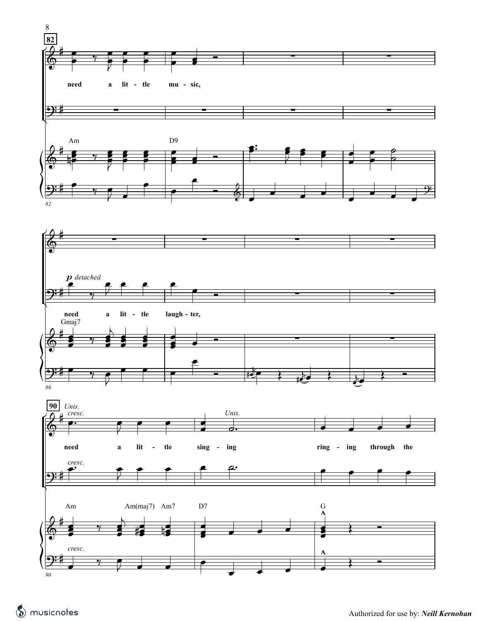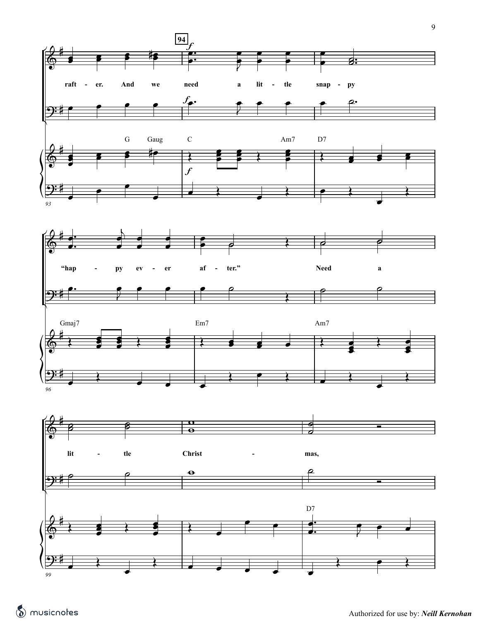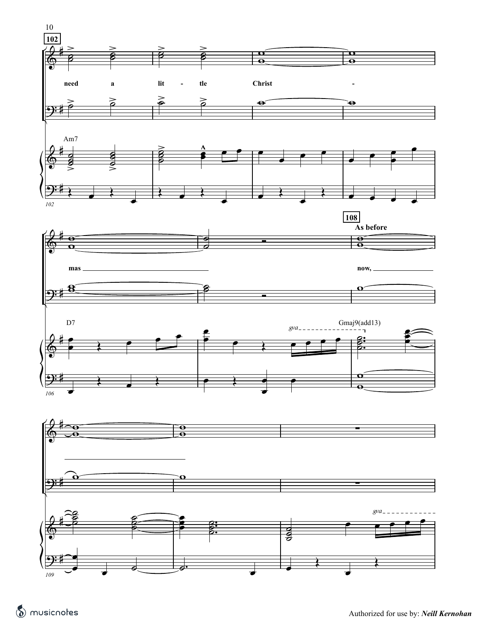